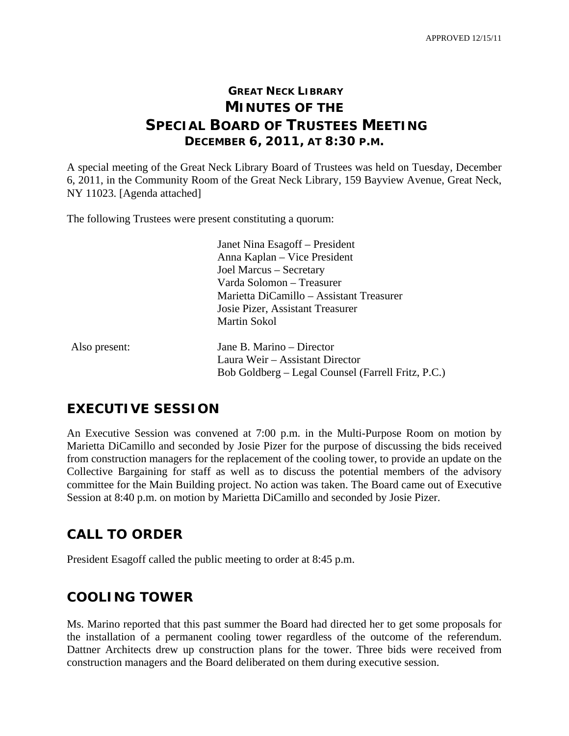# **GREAT NECK LIBRARY MINUTES OF THE SPECIAL BOARD OF TRUSTEES MEETING DECEMBER 6, 2011, AT 8:30 P.M.**

A special meeting of the Great Neck Library Board of Trustees was held on Tuesday, December 6, 2011, in the Community Room of the Great Neck Library, 159 Bayview Avenue, Great Neck, NY 11023. [Agenda attached]

The following Trustees were present constituting a quorum:

 Janet Nina Esagoff – President Anna Kaplan – Vice President Joel Marcus – Secretary Varda Solomon – Treasurer Marietta DiCamillo – Assistant Treasurer Josie Pizer, Assistant Treasurer Martin Sokol

| Also present: | Jane B. Marino – Director                          |
|---------------|----------------------------------------------------|
|               | Laura Weir – Assistant Director                    |
|               | Bob Goldberg – Legal Counsel (Farrell Fritz, P.C.) |

#### **EXECUTIVE SESSION**

An Executive Session was convened at 7:00 p.m. in the Multi-Purpose Room on motion by Marietta DiCamillo and seconded by Josie Pizer for the purpose of discussing the bids received from construction managers for the replacement of the cooling tower, to provide an update on the Collective Bargaining for staff as well as to discuss the potential members of the advisory committee for the Main Building project. No action was taken. The Board came out of Executive Session at 8:40 p.m. on motion by Marietta DiCamillo and seconded by Josie Pizer.

# **CALL TO ORDER**

President Esagoff called the public meeting to order at 8:45 p.m.

# **COOLING TOWER**

Ms. Marino reported that this past summer the Board had directed her to get some proposals for the installation of a permanent cooling tower regardless of the outcome of the referendum. Dattner Architects drew up construction plans for the tower. Three bids were received from construction managers and the Board deliberated on them during executive session.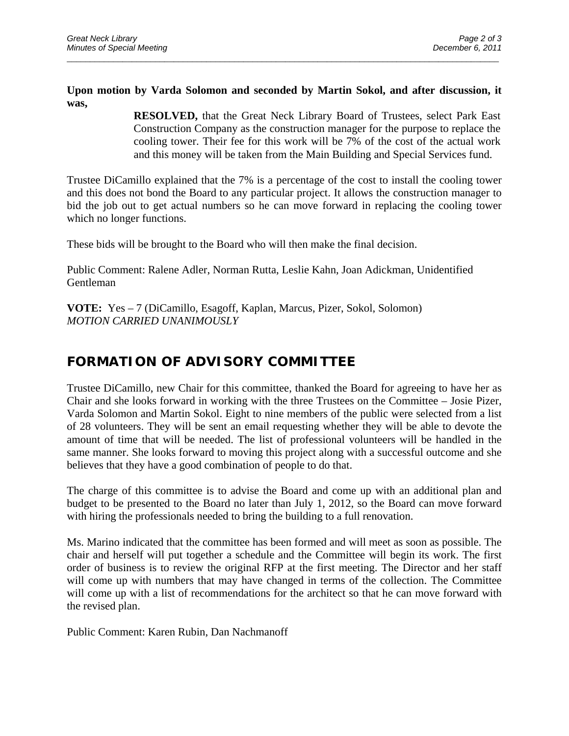**Upon motion by Varda Solomon and seconded by Martin Sokol, and after discussion, it was,** 

\_\_\_\_\_\_\_\_\_\_\_\_\_\_\_\_\_\_\_\_\_\_\_\_\_\_\_\_\_\_\_\_\_\_\_\_\_\_\_\_\_\_\_\_\_\_\_\_\_\_\_\_\_\_\_\_\_\_\_\_\_\_\_\_\_\_\_\_\_\_\_\_\_\_\_\_\_\_\_\_\_\_\_\_\_\_\_\_\_\_\_\_\_

**RESOLVED,** that the Great Neck Library Board of Trustees, select Park East Construction Company as the construction manager for the purpose to replace the cooling tower. Their fee for this work will be 7% of the cost of the actual work and this money will be taken from the Main Building and Special Services fund.

Trustee DiCamillo explained that the 7% is a percentage of the cost to install the cooling tower and this does not bond the Board to any particular project. It allows the construction manager to bid the job out to get actual numbers so he can move forward in replacing the cooling tower which no longer functions.

These bids will be brought to the Board who will then make the final decision.

Public Comment: Ralene Adler, Norman Rutta, Leslie Kahn, Joan Adickman, Unidentified Gentleman

**VOTE:** Yes – 7 (DiCamillo, Esagoff, Kaplan, Marcus, Pizer, Sokol, Solomon) *MOTION CARRIED UNANIMOUSLY* 

#### **FORMATION OF ADVISORY COMMITTEE**

Trustee DiCamillo, new Chair for this committee, thanked the Board for agreeing to have her as Chair and she looks forward in working with the three Trustees on the Committee – Josie Pizer, Varda Solomon and Martin Sokol. Eight to nine members of the public were selected from a list of 28 volunteers. They will be sent an email requesting whether they will be able to devote the amount of time that will be needed. The list of professional volunteers will be handled in the same manner. She looks forward to moving this project along with a successful outcome and she believes that they have a good combination of people to do that.

The charge of this committee is to advise the Board and come up with an additional plan and budget to be presented to the Board no later than July 1, 2012, so the Board can move forward with hiring the professionals needed to bring the building to a full renovation.

Ms. Marino indicated that the committee has been formed and will meet as soon as possible. The chair and herself will put together a schedule and the Committee will begin its work. The first order of business is to review the original RFP at the first meeting. The Director and her staff will come up with numbers that may have changed in terms of the collection. The Committee will come up with a list of recommendations for the architect so that he can move forward with the revised plan.

Public Comment: Karen Rubin, Dan Nachmanoff